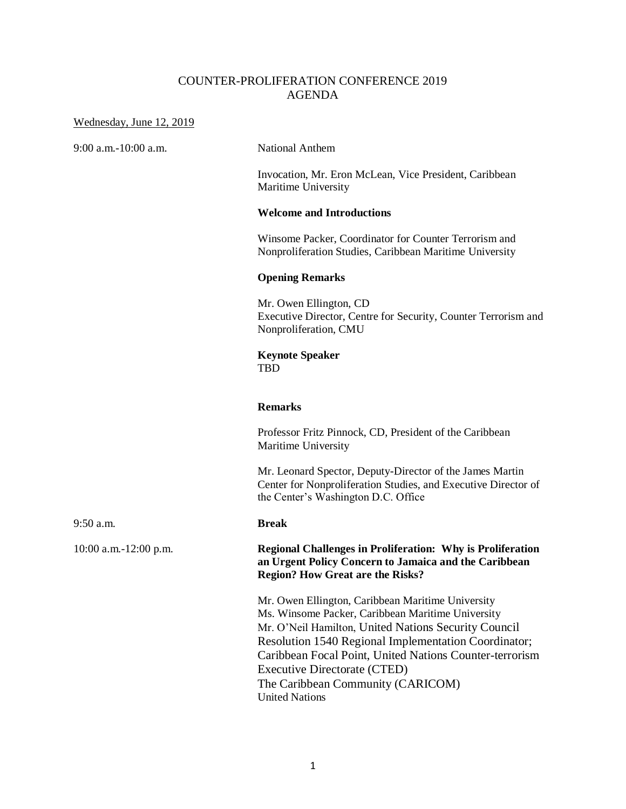## COUNTER-PROLIFERATION CONFERENCE 2019 AGENDA

#### Wednesday, June 12, 2019

9:00 a.m.-10:00 a.m. National Anthem

Invocation, Mr. Eron McLean, Vice President, Caribbean Maritime University

### **Welcome and Introductions**

Winsome Packer, Coordinator for Counter Terrorism and Nonproliferation Studies, Caribbean Maritime University

#### **Opening Remarks**

Mr. Owen Ellington, CD Executive Director, Centre for Security, Counter Terrorism and Nonproliferation, CMU

#### **Keynote Speaker TBD**

#### **Remarks**

Professor Fritz Pinnock, CD, President of the Caribbean Maritime University

Mr. Leonard Spector, Deputy-Director of the James Martin Center for Nonproliferation Studies, and Executive Director of the Center's Washington D.C. Office

10:00 a.m.-12:00 p.m. **Regional Challenges in Proliferation: Why is Proliferation an Urgent Policy Concern to Jamaica and the Caribbean Region? How Great are the Risks?**

> Mr. Owen Ellington, Caribbean Maritime University Ms. Winsome Packer, Caribbean Maritime University Mr. O'Neil Hamilton, United Nations Security Council Resolution 1540 Regional Implementation Coordinator; Caribbean Focal Point, United Nations Counter-terrorism Executive Directorate (CTED) The Caribbean Community (CARICOM) United Nations

9:50 a.m. **Break**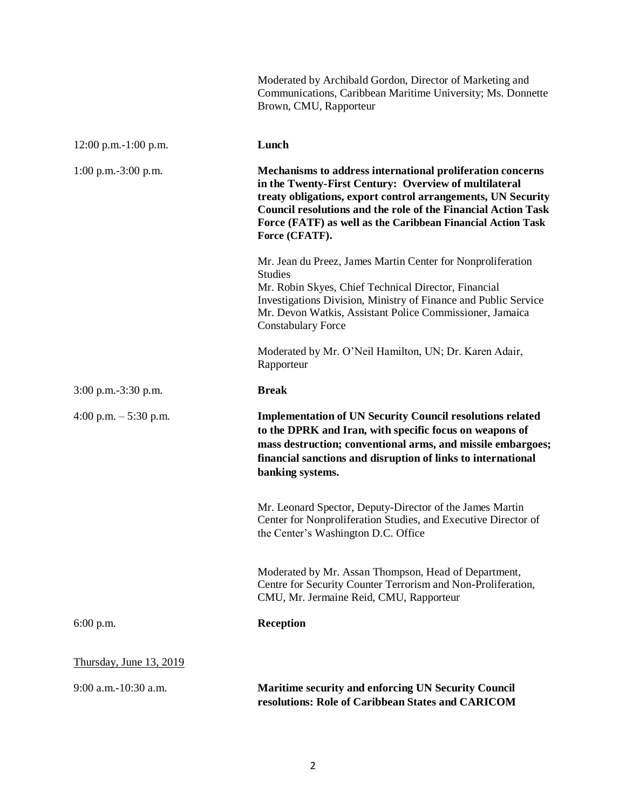|                         | Moderated by Archibald Gordon, Director of Marketing and<br>Communications, Caribbean Maritime University; Ms. Donnette<br>Brown, CMU, Rapporteur                                                                                                                                                                                            |
|-------------------------|----------------------------------------------------------------------------------------------------------------------------------------------------------------------------------------------------------------------------------------------------------------------------------------------------------------------------------------------|
| 12:00 p.m.-1:00 p.m.    | Lunch                                                                                                                                                                                                                                                                                                                                        |
| $1:00$ p.m.-3:00 p.m.   | Mechanisms to address international proliferation concerns<br>in the Twenty-First Century: Overview of multilateral<br>treaty obligations, export control arrangements, UN Security<br><b>Council resolutions and the role of the Financial Action Task</b><br>Force (FATF) as well as the Caribbean Financial Action Task<br>Force (CFATF). |
|                         | Mr. Jean du Preez, James Martin Center for Nonproliferation<br><b>Studies</b><br>Mr. Robin Skyes, Chief Technical Director, Financial<br>Investigations Division, Ministry of Finance and Public Service<br>Mr. Devon Watkis, Assistant Police Commissioner, Jamaica<br><b>Constabulary Force</b>                                            |
|                         | Moderated by Mr. O'Neil Hamilton, UN; Dr. Karen Adair,<br>Rapporteur                                                                                                                                                                                                                                                                         |
| $3:00$ p.m.-3:30 p.m.   | <b>Break</b>                                                                                                                                                                                                                                                                                                                                 |
| 4:00 p.m. $-5:30$ p.m.  | <b>Implementation of UN Security Council resolutions related</b><br>to the DPRK and Iran, with specific focus on weapons of<br>mass destruction; conventional arms, and missile embargoes;<br>financial sanctions and disruption of links to international<br>banking systems.                                                               |
|                         | Mr. Leonard Spector, Deputy-Director of the James Martin<br>Center for Nonproliferation Studies, and Executive Director of<br>the Center's Washington D.C. Office                                                                                                                                                                            |
|                         | Moderated by Mr. Assan Thompson, Head of Department,<br>Centre for Security Counter Terrorism and Non-Proliferation,<br>CMU, Mr. Jermaine Reid, CMU, Rapporteur                                                                                                                                                                              |
| $6:00$ p.m.             | <b>Reception</b>                                                                                                                                                                                                                                                                                                                             |
| Thursday, June 13, 2019 |                                                                                                                                                                                                                                                                                                                                              |
| 9:00 a.m.-10:30 a.m.    | <b>Maritime security and enforcing UN Security Council</b><br>resolutions: Role of Caribbean States and CARICOM                                                                                                                                                                                                                              |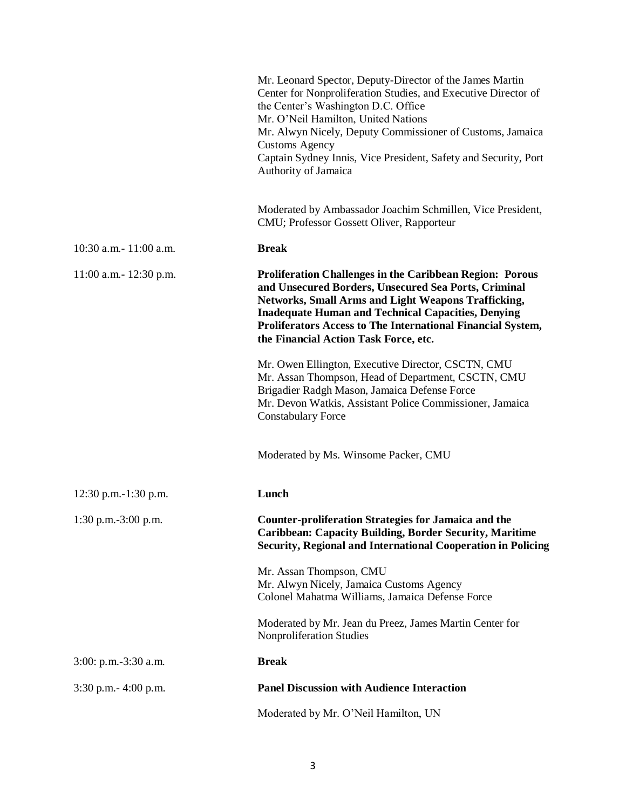|                          | Mr. Leonard Spector, Deputy-Director of the James Martin<br>Center for Nonproliferation Studies, and Executive Director of<br>the Center's Washington D.C. Office<br>Mr. O'Neil Hamilton, United Nations<br>Mr. Alwyn Nicely, Deputy Commissioner of Customs, Jamaica<br><b>Customs Agency</b><br>Captain Sydney Innis, Vice President, Safety and Security, Port<br>Authority of Jamaica |
|--------------------------|-------------------------------------------------------------------------------------------------------------------------------------------------------------------------------------------------------------------------------------------------------------------------------------------------------------------------------------------------------------------------------------------|
|                          | Moderated by Ambassador Joachim Schmillen, Vice President,<br>CMU; Professor Gossett Oliver, Rapporteur                                                                                                                                                                                                                                                                                   |
| 10:30 a.m.- 11:00 a.m.   | <b>Break</b>                                                                                                                                                                                                                                                                                                                                                                              |
| 11:00 a.m.- 12:30 p.m.   | <b>Proliferation Challenges in the Caribbean Region: Porous</b><br>and Unsecured Borders, Unsecured Sea Ports, Criminal<br>Networks, Small Arms and Light Weapons Trafficking,<br><b>Inadequate Human and Technical Capacities, Denying</b><br>Proliferators Access to The International Financial System,<br>the Financial Action Task Force, etc.                                       |
|                          | Mr. Owen Ellington, Executive Director, CSCTN, CMU<br>Mr. Assan Thompson, Head of Department, CSCTN, CMU<br>Brigadier Radgh Mason, Jamaica Defense Force<br>Mr. Devon Watkis, Assistant Police Commissioner, Jamaica<br><b>Constabulary Force</b>                                                                                                                                         |
|                          | Moderated by Ms. Winsome Packer, CMU                                                                                                                                                                                                                                                                                                                                                      |
| 12:30 p.m.-1:30 p.m.     | Lunch                                                                                                                                                                                                                                                                                                                                                                                     |
| 1:30 p.m. $-3:00$ p.m.   | <b>Counter-proliferation Strategies for Jamaica and the</b><br><b>Caribbean: Capacity Building, Border Security, Maritime</b><br><b>Security, Regional and International Cooperation in Policing</b>                                                                                                                                                                                      |
|                          | Mr. Assan Thompson, CMU<br>Mr. Alwyn Nicely, Jamaica Customs Agency<br>Colonel Mahatma Williams, Jamaica Defense Force                                                                                                                                                                                                                                                                    |
|                          | Moderated by Mr. Jean du Preez, James Martin Center for<br>Nonproliferation Studies                                                                                                                                                                                                                                                                                                       |
| $3:00:$ p.m.-3:30 a.m.   | <b>Break</b>                                                                                                                                                                                                                                                                                                                                                                              |
| $3:30$ p.m. $-4:00$ p.m. | <b>Panel Discussion with Audience Interaction</b>                                                                                                                                                                                                                                                                                                                                         |
|                          | Moderated by Mr. O'Neil Hamilton, UN                                                                                                                                                                                                                                                                                                                                                      |